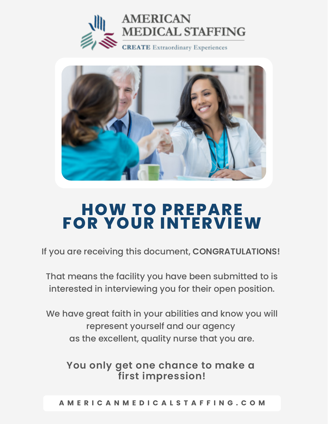



# **HOW TO PREPARE FOR YOUR INTERVIEW**

If you are receiving this document, **CONGRATULATIONS!** 

That means the facility you have been submitted to is interested in interviewing you for their open position.

We have great faith in your abilities and know you will represent yourself and our agency as the excellent, quality nurse that you are.

**You only get one chance to make a first impression!**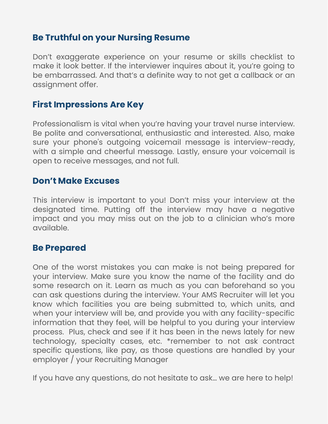## **Be Truthful on your Nursing Resume**

Don't exaggerate experience on your resume or skills checklist to make it look better. If the interviewer inquires about it, you're going to be embarrassed. And that's a definite way to not get a callback or an assignment offer.

## **First Impressions Are Key**

Professionalism is vital when you're having your travel nurse interview. Be polite and conversational, enthusiastic and interested. Also, make sure your phone's outgoing voicemail message is interview-ready, with a simple and cheerful message. Lastly, ensure your voicemail is open to receive messages, and not full.

### **Don't Make Excuses**

This interview is important to you! Don't miss your interview at the designated time. Putting off the interview may have a negative impact and you may miss out on the job to a clinician who's more available.

### **Be Prepared**

One of the worst mistakes you can make is not being prepared for your interview. Make sure you know the name of the facility and do some research on it. Learn as much as you can beforehand so you can ask questions during the interview. Your AMS Recruiter will let you know which facilities you are being submitted to, which units, and when your interview will be, and provide you with any facility-specific information that they feel, will be helpful to you during your interview process. Plus, check and see if it has been in the news lately for new technology, specialty cases, etc. \*remember to not ask contract specific questions, like pay, as those questions are handled by your employer / your Recruiting Manager

If you have any questions, do not hesitate to ask… we are here to help!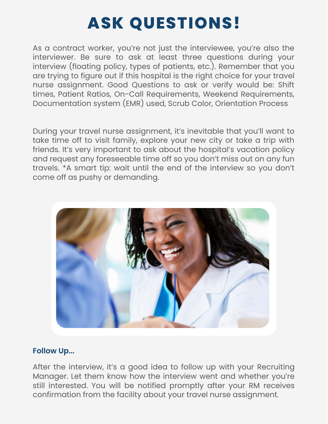# **ASK QUESTIONS!**

As a contract worker, you're not just the interviewee, you're also the interviewer. Be sure to ask at least three questions during your interview (floating policy, types of patients, etc.). Remember that you are trying to figure out if this hospital is the right choice for your travel nurse assignment. Good Questions to ask or verify would be: Shift times, Patient Ratios, On-Call Requirements, Weekend Requirements, Documentation system (EMR) used, Scrub Color, Orientation Process

During your travel nurse assignment, it's inevitable that you'll want to take time off to visit family, explore your new city or take a trip with friends. It's very important to ask about the hospital's vacation policy and request any foreseeable time off so you don't miss out on any fun travels. \*A smart tip: wait until the end of the interview so you don't come off as pushy or demanding.



#### **Follow Up...**

After the interview, it's a good idea to follow up with your Recruiting Manager. Let them know how the interview went and whether you're still interested. You will be notified promptly after your RM receives confirmation from the facility about your travel nurse assignment.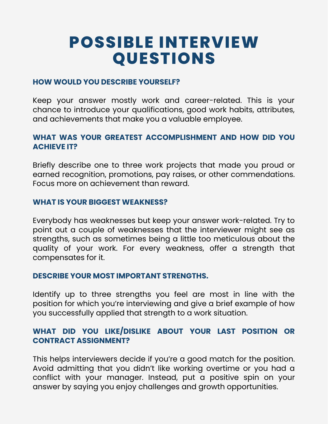# **POSSIBLE INTERVIEW QUESTIONS**

#### **HOW WOULD YOU DESCRIBE YOURSELF?**

Keep your answer mostly work and career-related. This is your chance to introduce your qualifications, good work habits, attributes, and achievements that make you a valuable employee.

#### **WHAT WAS YOUR GREATEST ACCOMPLISHMENT AND HOW DID YOU ACHIEVE IT?**

Briefly describe one to three work projects that made you proud or earned recognition, promotions, pay raises, or other commendations. Focus more on achievement than reward.

#### **WHAT IS YOUR BIGGEST WEAKNESS?**

Everybody has weaknesses but keep your answer work-related. Try to point out a couple of weaknesses that the interviewer might see as strengths, such as sometimes being a little too meticulous about the quality of your work. For every weakness, offer a strength that compensates for it.

#### **DESCRIBE YOUR MOST IMPORTANT STRENGTHS.**

Identify up to three strengths you feel are most in line with the position for which you're interviewing and give a brief example of how you successfully applied that strength to a work situation.

#### **WHAT DID YOU LIKE/DISLIKE ABOUT YOUR LAST POSITION OR CONTRACT ASSIGNMENT?**

This helps interviewers decide if you're a good match for the position. Avoid admitting that you didn't like working overtime or you had a conflict with your manager. Instead, put a positive spin on your answer by saying you enjoy challenges and growth opportunities.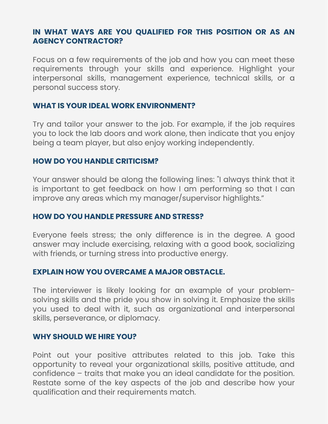#### **IN WHAT WAYS ARE YOU QUALIFIED FOR THIS POSITION OR AS AN AGENCY CONTRACTOR?**

Focus on a few requirements of the job and how you can meet these requirements through your skills and experience. Highlight your interpersonal skills, management experience, technical skills, or a personal success story.

#### **WHAT IS YOUR IDEAL WORK ENVIRONMENT?**

Try and tailor your answer to the job. For example, if the job requires you to lock the lab doors and work alone, then indicate that you enjoy being a team player, but also enjoy working independently.

#### **HOW DO YOU HANDLE CRITICISM?**

Your answer should be along the following lines: "I always think that it is important to get feedback on how I am performing so that I can improve any areas which my manager/supervisor highlights."

#### **HOW DO YOU HANDLE PRESSURE AND STRESS?**

Everyone feels stress; the only difference is in the degree. A good answer may include exercising, relaxing with a good book, socializing with friends, or turning stress into productive energy.

#### **EXPLAIN HOW YOU OVERCAME A MAJOR OBSTACLE.**

The interviewer is likely looking for an example of your problemsolving skills and the pride you show in solving it. Emphasize the skills you used to deal with it, such as organizational and interpersonal skills, perseverance, or diplomacy.

#### **WHY SHOULD WE HIRE YOU?**

Point out your positive attributes related to this job. Take this opportunity to reveal your organizational skills, positive attitude, and confidence – traits that make you an ideal candidate for the position. Restate some of the key aspects of the job and describe how your qualification and their requirements match.